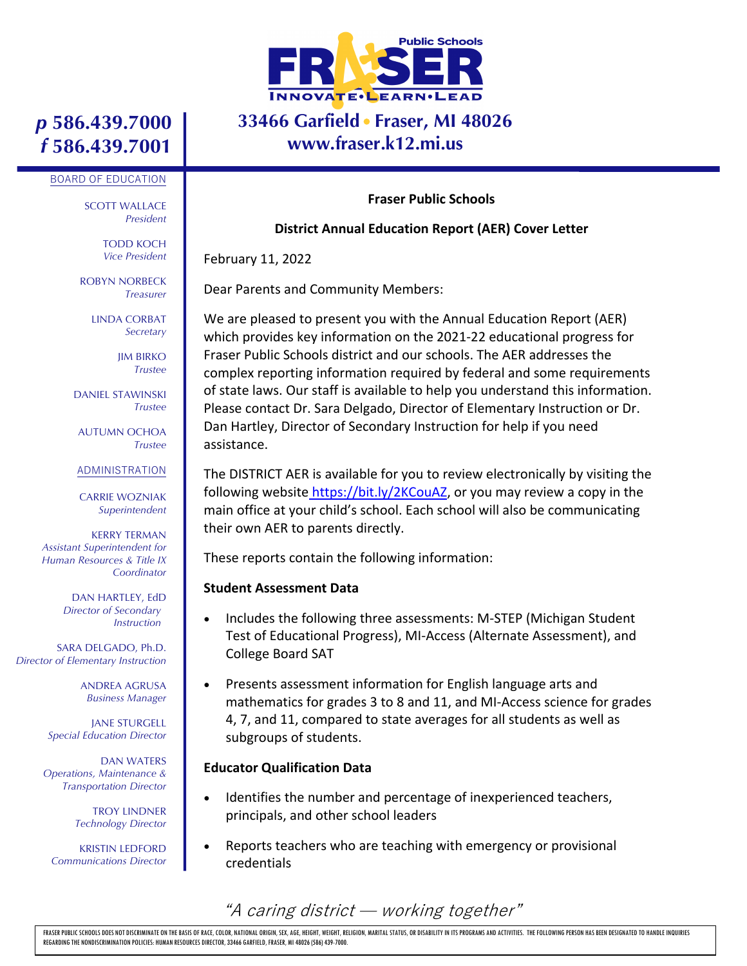

### **33466 Garfield Fraser, MI 48026 www.fraser.k12.mi.us**

# *p* **586.439.7000** *f* **586.439.7001**

#### BOARD OF EDUCATION

SCOTT WALLACE *President*

> TODD KOCH *Vice President*

ROBYN NORBECK *Treasurer*

> LINDA CORBAT *Secretary*

> > JIM BIRKO *Trustee*

DANIEL STAWINSKI *Trustee*

AUTUMN OCHOA *Trustee*

#### ADMINISTRATION

CARRIE WOZNIAK *Superintendent*

KERRY TERMAN *Assistant Superintendent for Human Resources & Title IX Coordinator*

> DAN HARTLEY, EdD *Director of Secondary Instruction*

SARA DELGADO, Ph.D. *Director of Elementary Instruction*

> ANDREA AGRUSA *Business Manager*

JANE STURGELL *Special Education Director*

DAN WATERS *Operations, Maintenance & Transportation Director*

> TROY LINDNER *Technology Director*

KRISTIN LEDFORD *Communications Director*

#### **Fraser Public Schools**

#### **District Annual Education Report (AER) Cover Letter**

February 11, 2022

Dear Parents and Community Members:

We are pleased to present you with the Annual Education Report (AER) which provides key information on the 2021-22 educational progress for Fraser Public Schools district and our schools. The AER addresses the complex reporting information required by federal and some requirements of state laws. Our staff is available to help you understand this information. Please contact Dr. Sara Delgado, Director of Elementary Instruction or Dr. Dan Hartley, Director of Secondary Instruction for help if you need assistance.

The DISTRICT AER is available for you to review electronically by visiting the following website https://bit.ly/2KCouAZ, or you may review a copy in the main office at your child's school. Each school will also be communicating their own AER to parents directly.

These reports contain the following information:

#### **Student Assessment Data**

- Includes the following three assessments: M-STEP (Michigan Student Test of Educational Progress), MI-Access (Alternate Assessment), and College Board SAT
- Presents assessment information for English language arts and mathematics for grades 3 to 8 and 11, and MI-Access science for grades 4, 7, and 11, compared to state averages for all students as well as subgroups of students.

#### **Educator Qualification Data**

- Identifies the number and percentage of inexperienced teachers, principals, and other school leaders
- Reports teachers who are teaching with emergency or provisional credentials

"A caring district ̶ working together"

FRASER PUBLIC SCHOOLS DOES NOT DISCRIMINATE ON THE BASIS OF RACE, COLOR, NATIONAL ORIGIN, SEX, AGE, HEIGHT, WEIGHT, RELIGION, MARITAL STATUS, OR DISABILITY IN ITS PROGRAMS AND ACTIVITIES. THE FOLLOWING PERSON HAS BEEN DESI REGARDING THE NONDISCRIMINATION POLICIES: HUMAN RESOURCES DIRECTOR, 33466 GARFIELD, FRASER, MI 48026 (586) 439-7000.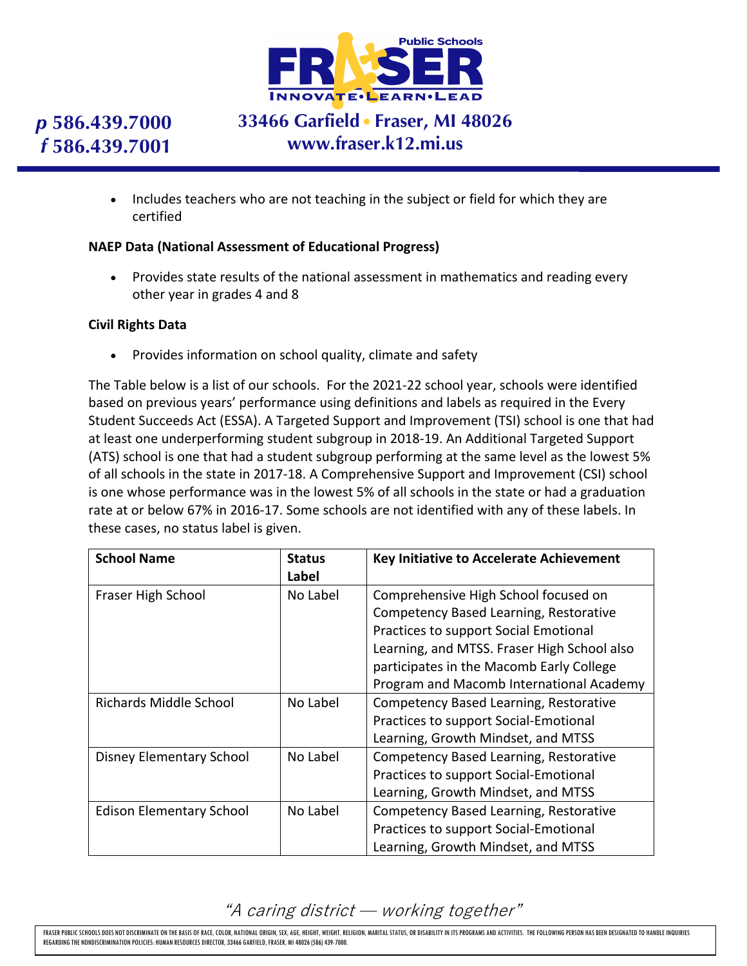

# *p* **586.439.7000** *f* **586.439.7001**

## **33466 Garfield Fraser, MI 48026 www.fraser.k12.mi.us**

• Includes teachers who are not teaching in the subject or field for which they are certified

#### **NAEP Data (National Assessment of Educational Progress)**

• Provides state results of the national assessment in mathematics and reading every other year in grades 4 and 8

### **Civil Rights Data**

• Provides information on school quality, climate and safety

The Table below is a list of our schools. For the 2021-22 school year, schools were identified based on previous years' performance using definitions and labels as required in the Every Student Succeeds Act (ESSA). A Targeted Support and Improvement (TSI) school is one that had at least one underperforming student subgroup in 2018-19. An Additional Targeted Support (ATS) school is one that had a student subgroup performing at the same level as the lowest 5% of all schools in the state in 2017-18. A Comprehensive Support and Improvement (CSI) school is one whose performance was in the lowest 5% of all schools in the state or had a graduation rate at or below 67% in 2016-17. Some schools are not identified with any of these labels. In these cases, no status label is given.

| <b>School Name</b>              | <b>Status</b><br>Label | <b>Key Initiative to Accelerate Achievement</b> |
|---------------------------------|------------------------|-------------------------------------------------|
| Fraser High School              | No Label               | Comprehensive High School focused on            |
|                                 |                        | Competency Based Learning, Restorative          |
|                                 |                        | Practices to support Social Emotional           |
|                                 |                        | Learning, and MTSS. Fraser High School also     |
|                                 |                        | participates in the Macomb Early College        |
|                                 |                        | Program and Macomb International Academy        |
| Richards Middle School          | No Label               | Competency Based Learning, Restorative          |
|                                 |                        | Practices to support Social-Emotional           |
|                                 |                        | Learning, Growth Mindset, and MTSS              |
| <b>Disney Elementary School</b> | No Label               | Competency Based Learning, Restorative          |
|                                 |                        | Practices to support Social-Emotional           |
|                                 |                        | Learning, Growth Mindset, and MTSS              |
| <b>Edison Elementary School</b> | No Label               | Competency Based Learning, Restorative          |
|                                 |                        | Practices to support Social-Emotional           |
|                                 |                        | Learning, Growth Mindset, and MTSS              |

### "A caring district ̶ working together"

FRASER PUBLIC SCHOOLS DOES NOT DISCRIMINATE ON THE BASIS OF RACE, COLOR, NATIONAL ORIGIN, SEX, AGE, HEIGHT, WEIGHT, RELIGION, MARITAL STATUS, OR DISABILITY IN ITS PROGRAMS AND ACTIVITIES. THE FOLLOWING PERSON HAS BEEN DESI REGARDING THE NONDISCRIMINATION POLICIES: HUMAN RESOURCES DIRECTOR, 33466 GARFIELD, FRASER, MI 48026 (586) 439-7000.